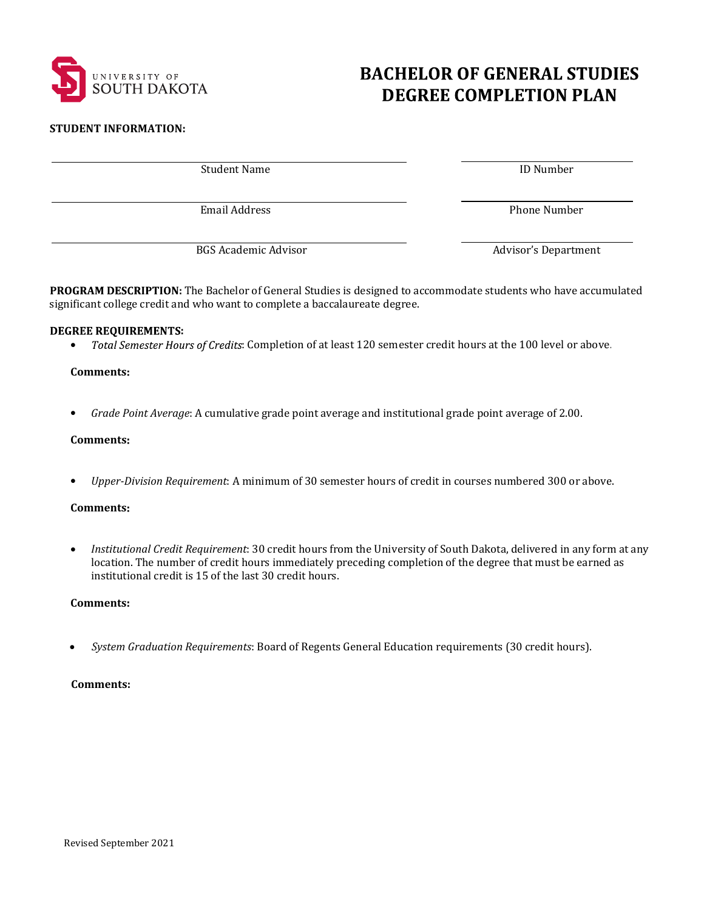

# **BACHELOR OF GENERAL STUDIES DEGREE COMPLETION PLAN**

#### **STUDENT INFORMATION:**

Student Name **ID** Number

Email Address **Phone Number** 

BGS Academic Advisor **Mateurs** Advisor's Department

PROGRAM DESCRIPTION: The Bachelor of General Studies is designed to accommodate students who have accumulated significant college credit and who want to complete a baccalaureate degree.

# **DEGREE REQUIREMENTS:**

• Total Semester Hours of Credits: Completion of at least 120 semester credit hours at the 100 level or above.

### **Comments**

• *Grade Point Average*: A cumulative grade point average and institutional grade point average of 2.00.

### **Comments**

● *Upper-Division Requirement*: A minimum of 30 semester hours of credit in courses numbered 300 or above.

#### **Comments**

• *Institutional Credit Requirement*: 30 credit hours from the University of South Dakota, delivered in any form at any location. The number of credit hours immediately preceding completion of the degree that must be earned as institutional credit is 15 of the last 30 credit hours.

# **Comments**

*System Graduation Requirements*: Board of Regents General Education requirements (30 credit hours).

# **Comments:**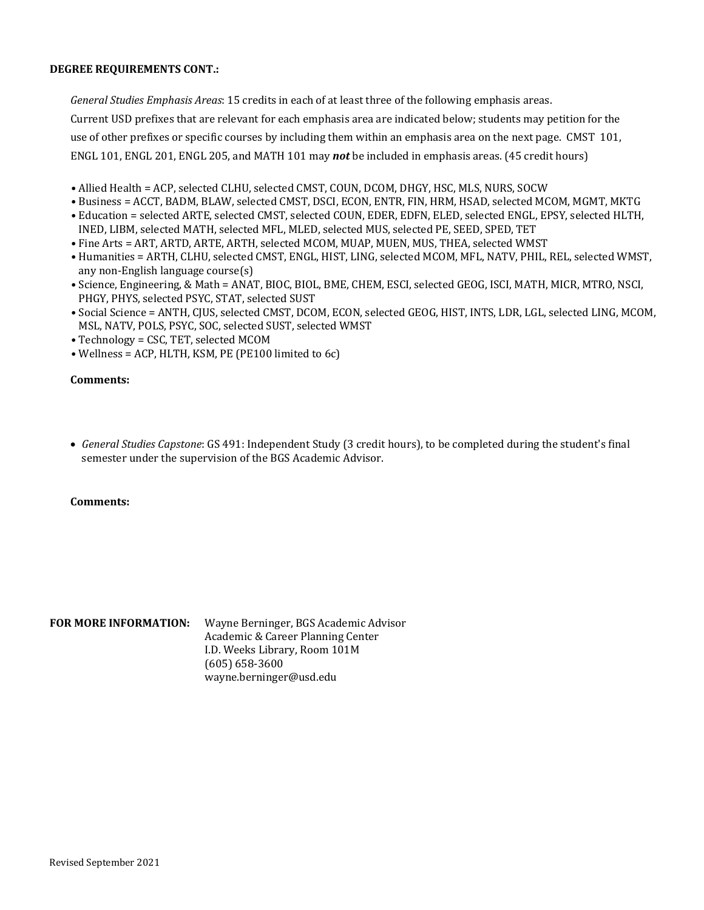# **DEGREE REQUIREMENTS CONT.:**

*General Studies Emphasis Areas*: 15 credits in each of at least three of the following emphasis areas. Current USD prefixes that are relevant for each emphasis area are indicated below; students may petition for the use of other prefixes or specific courses by including them within an emphasis area on the next page. CMST 101, ENGL 101, ENGL 201, ENGL 205, and MATH 101 may **not** be included in emphasis areas. (45 credit hours)

- Allied Health = ACP, selected CLHU, selected CMST, COUN, DCOM, DHGY, HSC, MLS, NURS, SOCW
- Business = ACCT, BADM, BLAW, selected CMST, DSCI, ECON, ENTR, FIN, HRM, HSAD, selected MCOM, MGMT, MKTG
- Education = selected ARTE, selected CMST, selected COUN, EDER, EDFN, ELED, selected ENGL, EPSY, selected HLTH, INED, LIBM, selected MATH, selected MFL, MLED, selected MUS, selected PE, SEED, SPED, TET
- Fine Arts = ART, ARTD, ARTE, ARTH, selected MCOM, MUAP, MUEN, MUS, THEA, selected WMST
- Humanities = ARTH, CLHU, selected CMST, ENGL, HIST, LING, selected MCOM, MFL, NATV, PHIL, REL, selected WMST, any non-English language course(s)
- Science, Engineering, & Math = ANAT, BIOC, BIOL, BME, CHEM, ESCI, selected GEOG, ISCI, MATH, MICR, MTRO, NSCI, PHGY, PHYS, selected PSYC, STAT, selected SUST
- Social Science = ANTH, CJUS, selected CMST, DCOM, ECON, selected GEOG, HIST, INTS, LDR, LGL, selected LING, MCOM, MSL, NATV, POLS, PSYC, SOC, selected SUST, selected WMST
- Technology = CSC, TET, selected MCOM
- Wellness = ACP, HLTH, KSM, PE (PE100 limited to 6c)

# **Comments:**

• *General Studies Capstone*: GS 491: Independent Study (3 credit hours), to be completed during the student's final semester under the supervision of the BGS Academic Advisor.

#### **Comments:**

**FOR MORE INFORMATION:** Wayne Berninger, BGS Academic Advisor Academic & Career Planning Center I.D. Weeks Library, Room 101M (605) 658-3600 wayne.berninger@usd.edu